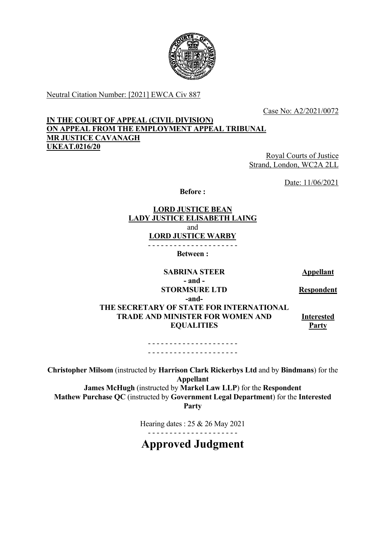

Neutral Citation Number: [2021] EWCA Civ 887

Case No: A2/2021/0072

# **IN THE COURT OF APPEAL (CIVIL DIVISION) ON APPEAL FROM THE EMPLOYMENT APPEAL TRIBUNAL MR JUSTICE CAVANAGH UKEAT.0216/20**

Royal Courts of Justice Strand, London, WC2A 2LL

Date: 11/06/2021

**Before :**

**LORD JUSTICE BEAN LADY JUSTICE ELISABETH LAING** and

**LORD JUSTICE WARBY** - - - - - - - - - - - - - - - - - - - - -

**Between :**

**SABRINA STEER Appellant - and -**

**STORMSURE LTD**

**Respondent**

**-and-THE SECRETARY OF STATE FOR INTERNATIONAL TRADE AND MINISTER FOR WOMEN AND EQUALITIES**

**Interested Party**

- - - - - - - - - - - - - - - - - - - - - - - - - - - - - - - - - - - - - - - - - -

**Christopher Milsom** (instructed by **Harrison Clark Rickerbys Ltd** and by **Bindmans**) for the **Appellant**

**James McHugh** (instructed by **Markel Law LLP**) for the **Respondent Mathew Purchase QC** (instructed by **Government Legal Department**) for the **Interested Party**

Hearing dates : 25 & 26 May 2021

- - - - - - - - - - - - - - - - - - - - -

**Approved Judgment**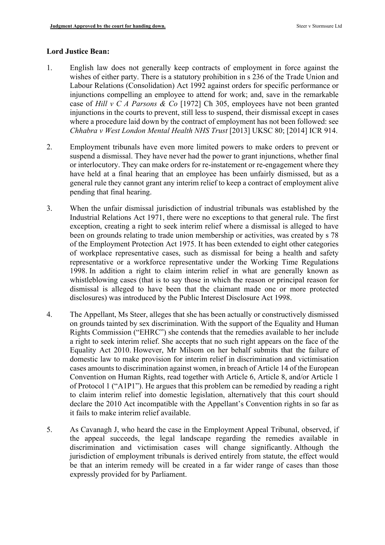### **Lord Justice Bean:**

- 1. English law does not generally keep contracts of employment in force against the wishes of either party. There is a statutory prohibition in s 236 of the Trade Union and Labour Relations (Consolidation) Act 1992 against orders for specific performance or injunctions compelling an employee to attend for work; and, save in the remarkable case of *Hill v C A Parsons & Co* [1972] Ch 305, employees have not been granted injunctions in the courts to prevent, still less to suspend, their dismissal except in cases where a procedure laid down by the contract of employment has not been followed: see *Chhabra v West London Mental Health NHS Trust* [2013] UKSC 80; [2014] ICR 914.
- 2. Employment tribunals have even more limited powers to make orders to prevent or suspend a dismissal. They have never had the power to grant injunctions, whether final or interlocutory. They can make orders for re-instatement or re-engagement where they have held at a final hearing that an employee has been unfairly dismissed, but as a general rule they cannot grant any interim relief to keep a contract of employment alive pending that final hearing.
- 3. When the unfair dismissal jurisdiction of industrial tribunals was established by the Industrial Relations Act 1971, there were no exceptions to that general rule. The first exception, creating a right to seek interim relief where a dismissal is alleged to have been on grounds relating to trade union membership or activities, was created by s 78 of the Employment Protection Act 1975. It has been extended to eight other categories of workplace representative cases, such as dismissal for being a health and safety representative or a workforce representative under the Working Time Regulations 1998. In addition a right to claim interim relief in what are generally known as whistleblowing cases (that is to say those in which the reason or principal reason for dismissal is alleged to have been that the claimant made one or more protected disclosures) was introduced by the Public Interest Disclosure Act 1998.
- 4. The Appellant, Ms Steer, alleges that she has been actually or constructively dismissed on grounds tainted by sex discrimination. With the support of the Equality and Human Rights Commission ("EHRC") she contends that the remedies available to her include a right to seek interim relief. She accepts that no such right appears on the face of the Equality Act 2010. However, Mr Milsom on her behalf submits that the failure of domestic law to make provision for interim relief in discrimination and victimisation cases amounts to discrimination against women, in breach of Article 14 of the European Convention on Human Rights, read together with Article 6, Article 8, and/or Article 1 of Protocol 1 ("A1P1"). He argues that this problem can be remedied by reading a right to claim interim relief into domestic legislation, alternatively that this court should declare the 2010 Act incompatible with the Appellant's Convention rights in so far as it fails to make interim relief available.
- 5. As Cavanagh J, who heard the case in the Employment Appeal Tribunal, observed, if the appeal succeeds, the legal landscape regarding the remedies available in discrimination and victimisation cases will change significantly. Although the jurisdiction of employment tribunals is derived entirely from statute, the effect would be that an interim remedy will be created in a far wider range of cases than those expressly provided for by Parliament.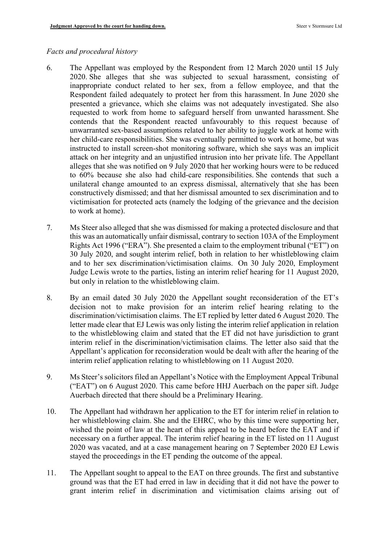### *Facts and procedural history*

- 6. The Appellant was employed by the Respondent from 12 March 2020 until 15 July 2020. She alleges that she was subjected to sexual harassment, consisting of inappropriate conduct related to her sex, from a fellow employee, and that the Respondent failed adequately to protect her from this harassment. In June 2020 she presented a grievance, which she claims was not adequately investigated. She also requested to work from home to safeguard herself from unwanted harassment. She contends that the Respondent reacted unfavourably to this request because of unwarranted sex-based assumptions related to her ability to juggle work at home with her child-care responsibilities. She was eventually permitted to work at home, but was instructed to install screen-shot monitoring software, which she says was an implicit attack on her integrity and an unjustified intrusion into her private life. The Appellant alleges that she was notified on 9 July 2020 that her working hours were to be reduced to 60% because she also had child-care responsibilities. She contends that such a unilateral change amounted to an express dismissal, alternatively that she has been constructively dismissed; and that her dismissal amounted to sex discrimination and to victimisation for protected acts (namely the lodging of the grievance and the decision to work at home).
- 7. Ms Steer also alleged that she was dismissed for making a protected disclosure and that this was an automatically unfair dismissal, contrary to section 103A of the Employment Rights Act 1996 ("ERA"). She presented a claim to the employment tribunal ("ET") on 30 July 2020, and sought interim relief, both in relation to her whistleblowing claim and to her sex discrimination/victimisation claims. On 30 July 2020, Employment Judge Lewis wrote to the parties, listing an interim relief hearing for 11 August 2020, but only in relation to the whistleblowing claim.
- 8. By an email dated 30 July 2020 the Appellant sought reconsideration of the ET's decision not to make provision for an interim relief hearing relating to the discrimination/victimisation claims. The ET replied by letter dated 6 August 2020. The letter made clear that EJ Lewis was only listing the interim relief application in relation to the whistleblowing claim and stated that the ET did not have jurisdiction to grant interim relief in the discrimination/victimisation claims. The letter also said that the Appellant's application for reconsideration would be dealt with after the hearing of the interim relief application relating to whistleblowing on 11 August 2020.
- 9. Ms Steer's solicitors filed an Appellant's Notice with the Employment Appeal Tribunal ("EAT") on 6 August 2020. This came before HHJ Auerbach on the paper sift. Judge Auerbach directed that there should be a Preliminary Hearing.
- 10. The Appellant had withdrawn her application to the ET for interim relief in relation to her whistleblowing claim. She and the EHRC, who by this time were supporting her, wished the point of law at the heart of this appeal to be heard before the EAT and if necessary on a further appeal. The interim relief hearing in the ET listed on 11 August 2020 was vacated, and at a case management hearing on 7 September 2020 EJ Lewis stayed the proceedings in the ET pending the outcome of the appeal.
- 11. The Appellant sought to appeal to the EAT on three grounds. The first and substantive ground was that the ET had erred in law in deciding that it did not have the power to grant interim relief in discrimination and victimisation claims arising out of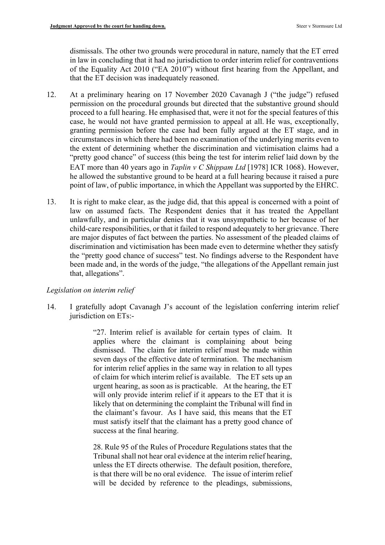dismissals. The other two grounds were procedural in nature, namely that the ET erred in law in concluding that it had no jurisdiction to order interim relief for contraventions of the Equality Act 2010 ("EA 2010") without first hearing from the Appellant, and that the ET decision was inadequately reasoned.

- 12. At a preliminary hearing on 17 November 2020 Cavanagh J ("the judge") refused permission on the procedural grounds but directed that the substantive ground should proceed to a full hearing. He emphasised that, were it not for the special features of this case, he would not have granted permission to appeal at all. He was, exceptionally, granting permission before the case had been fully argued at the ET stage, and in circumstances in which there had been no examination of the underlying merits even to the extent of determining whether the discrimination and victimisation claims had a "pretty good chance" of success (this being the test for interim relief laid down by the EAT more than 40 years ago in *Taplin v C Shippam Ltd* [1978] ICR 1068). However, he allowed the substantive ground to be heard at a full hearing because it raised a pure point of law, of public importance, in which the Appellant was supported by the EHRC.
- 13. It is right to make clear, as the judge did, that this appeal is concerned with a point of law on assumed facts. The Respondent denies that it has treated the Appellant unlawfully, and in particular denies that it was unsympathetic to her because of her child-care responsibilities, or that it failed to respond adequately to her grievance. There are major disputes of fact between the parties. No assessment of the pleaded claims of discrimination and victimisation has been made even to determine whether they satisfy the "pretty good chance of success" test. No findings adverse to the Respondent have been made and, in the words of the judge, "the allegations of the Appellant remain just that, allegations".

## *Legislation on interim relief*

14. I gratefully adopt Cavanagh J's account of the legislation conferring interim relief jurisdiction on ETs:-

> "27. Interim relief is available for certain types of claim. It applies where the claimant is complaining about being dismissed. The claim for interim relief must be made within seven days of the effective date of termination. The mechanism for interim relief applies in the same way in relation to all types of claim for which interim relief is available. The ET sets up an urgent hearing, as soon as is practicable. At the hearing, the ET will only provide interim relief if it appears to the ET that it is likely that on determining the complaint the Tribunal will find in the claimant's favour. As I have said, this means that the ET must satisfy itself that the claimant has a pretty good chance of success at the final hearing.

> 28. Rule 95 of the Rules of Procedure Regulations states that the Tribunal shall not hear oral evidence at the interim relief hearing, unless the ET directs otherwise. The default position, therefore, is that there will be no oral evidence. The issue of interim relief will be decided by reference to the pleadings, submissions,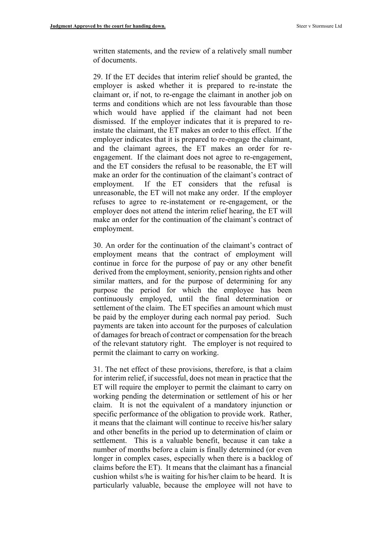written statements, and the review of a relatively small number of documents.

29. If the ET decides that interim relief should be granted, the employer is asked whether it is prepared to re-instate the claimant or, if not, to re-engage the claimant in another job on terms and conditions which are not less favourable than those which would have applied if the claimant had not been dismissed. If the employer indicates that it is prepared to reinstate the claimant, the ET makes an order to this effect. If the employer indicates that it is prepared to re-engage the claimant, and the claimant agrees, the ET makes an order for reengagement. If the claimant does not agree to re-engagement, and the ET considers the refusal to be reasonable, the ET will make an order for the continuation of the claimant's contract of employment. If the ET considers that the refusal is unreasonable, the ET will not make any order. If the employer refuses to agree to re-instatement or re-engagement, or the employer does not attend the interim relief hearing, the ET will make an order for the continuation of the claimant's contract of employment.

30. An order for the continuation of the claimant's contract of employment means that the contract of employment will continue in force for the purpose of pay or any other benefit derived from the employment, seniority, pension rights and other similar matters, and for the purpose of determining for any purpose the period for which the employee has been continuously employed, until the final determination or settlement of the claim. The ET specifies an amount which must be paid by the employer during each normal pay period. Such payments are taken into account for the purposes of calculation of damages for breach of contract or compensation for the breach of the relevant statutory right. The employer is not required to permit the claimant to carry on working.

31. The net effect of these provisions, therefore, is that a claim for interim relief, if successful, does not mean in practice that the ET will require the employer to permit the claimant to carry on working pending the determination or settlement of his or her claim. It is not the equivalent of a mandatory injunction or specific performance of the obligation to provide work. Rather, it means that the claimant will continue to receive his/her salary and other benefits in the period up to determination of claim or settlement. This is a valuable benefit, because it can take a number of months before a claim is finally determined (or even longer in complex cases, especially when there is a backlog of claims before the ET). It means that the claimant has a financial cushion whilst s/he is waiting for his/her claim to be heard. It is particularly valuable, because the employee will not have to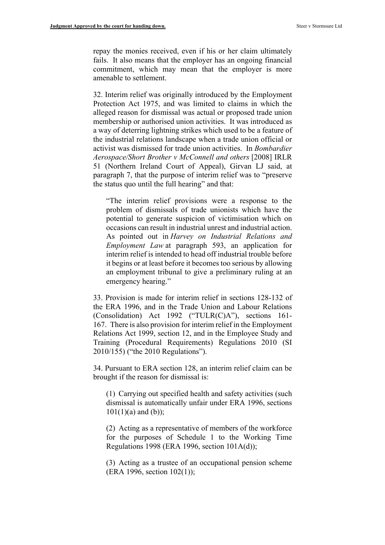repay the monies received, even if his or her claim ultimately fails. It also means that the employer has an ongoing financial commitment, which may mean that the employer is more amenable to settlement.

32. Interim relief was originally introduced by the Employment Protection Act 1975, and was limited to claims in which the alleged reason for dismissal was actual or proposed trade union membership or authorised union activities. It was introduced as a way of deterring lightning strikes which used to be a feature of the industrial relations landscape when a trade union official or activist was dismissed for trade union activities. In *Bombardier Aerospace/Short Brother v McConnell and others* [2008] IRLR 51 (Northern Ireland Court of Appeal), Girvan LJ said, at paragraph 7, that the purpose of interim relief was to "preserve the status quo until the full hearing" and that:

"The interim relief provisions were a response to the problem of dismissals of trade unionists which have the potential to generate suspicion of victimisation which on occasions can result in industrial unrest and industrial action. As pointed out in *Harvey on Industrial Relations and Employment Law* at paragraph 593, an application for interim relief is intended to head off industrial trouble before it begins or at least before it becomes too serious by allowing an employment tribunal to give a preliminary ruling at an emergency hearing."

33. Provision is made for interim relief in sections 128-132 of the ERA 1996, and in the Trade Union and Labour Relations (Consolidation) Act 1992 ("TULR(C)A"), sections 161- 167. There is also provision for interim relief in the Employment Relations Act 1999, section 12, and in the Employee Study and Training (Procedural Requirements) Regulations 2010 (SI 2010/155) ("the 2010 Regulations").

34. Pursuant to ERA section 128, an interim relief claim can be brought if the reason for dismissal is:

(1) Carrying out specified health and safety activities (such dismissal is automatically unfair under ERA 1996, sections  $101(1)(a)$  and  $(b)$ );

(2) Acting as a representative of members of the workforce for the purposes of Schedule 1 to the Working Time Regulations 1998 (ERA 1996, section 101A(d));

(3) Acting as a trustee of an occupational pension scheme (ERA 1996, section 102(1));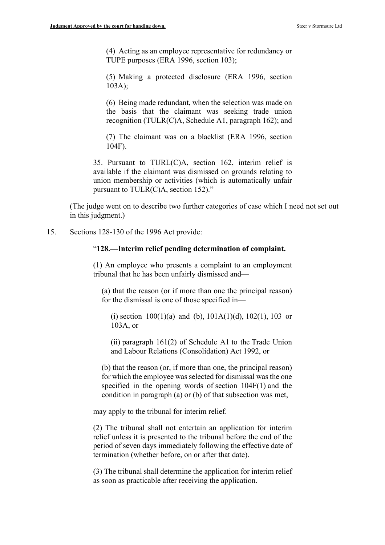(4) Acting as an employee representative for redundancy or TUPE purposes (ERA 1996, section 103);

(5) Making a protected disclosure (ERA 1996, section 103A);

(6) Being made redundant, when the selection was made on the basis that the claimant was seeking trade union recognition (TULR(C)A, Schedule A1, paragraph 162); and

(7) The claimant was on a blacklist (ERA 1996, section 104F).

35. Pursuant to TURL(C)A, section 162, interim relief is available if the claimant was dismissed on grounds relating to union membership or activities (which is automatically unfair pursuant to TULR(C)A, section 152)."

(The judge went on to describe two further categories of case which I need not set out in this judgment.)

15. Sections 128-130 of the 1996 Act provide:

### "**128.—Interim relief pending determination of complaint.**

(1) An employee who presents a complaint to an employment tribunal that he has been unfairly dismissed and—

(a) that the reason (or if more than one the principal reason) for the dismissal is one of those specified in—

(i) section  $100(1)(a)$  and (b),  $101A(1)(d)$ ,  $102(1)$ ,  $103$  or 103A, or

(ii) paragraph 161(2) of Schedule A1 to the Trade Union and Labour Relations (Consolidation) Act 1992, or

(b) that the reason (or, if more than one, the principal reason) for which the employee was selected for dismissal was the one specified in the opening words of section 104F(1) and the condition in paragraph (a) or (b) of that subsection was met,

may apply to the tribunal for interim relief.

(2) The tribunal shall not entertain an application for interim relief unless it is presented to the tribunal before the end of the period of seven days immediately following the effective date of termination (whether before, on or after that date).

(3) The tribunal shall determine the application for interim relief as soon as practicable after receiving the application.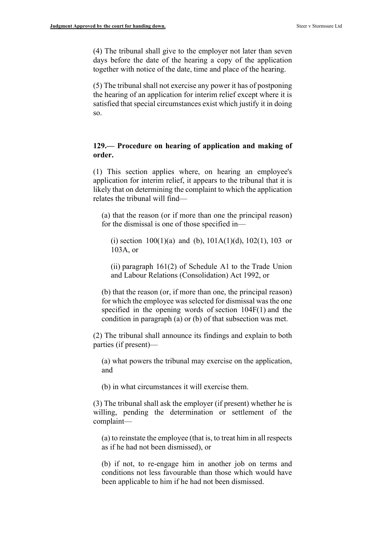(4) The tribunal shall give to the employer not later than seven days before the date of the hearing a copy of the application together with notice of the date, time and place of the hearing.

(5) The tribunal shall not exercise any power it has of postponing the hearing of an application for interim relief except where it is satisfied that special circumstances exist which justify it in doing so.

### **129.— Procedure on hearing of application and making of order.**

(1) This section applies where, on hearing an employee's application for interim relief, it appears to the tribunal that it is likely that on determining the complaint to which the application relates the tribunal will find—

(a) that the reason (or if more than one the principal reason) for the dismissal is one of those specified in—

(i) section  $100(1)(a)$  and (b),  $101A(1)(d)$ ,  $102(1)$ ,  $103$  or 103A, or

(ii) paragraph  $161(2)$  of Schedule A1 to the Trade Union and Labour Relations (Consolidation) Act 1992, or

(b) that the reason (or, if more than one, the principal reason) for which the employee was selected for dismissal was the one specified in the opening words of section 104F(1) and the condition in paragraph (a) or (b) of that subsection was met.

(2) The tribunal shall announce its findings and explain to both parties (if present)—

(a) what powers the tribunal may exercise on the application, and

(b) in what circumstances it will exercise them.

(3) The tribunal shall ask the employer (if present) whether he is willing, pending the determination or settlement of the complaint—

(a) to reinstate the employee (that is, to treat him in all respects as if he had not been dismissed), or

(b) if not, to re-engage him in another job on terms and conditions not less favourable than those which would have been applicable to him if he had not been dismissed.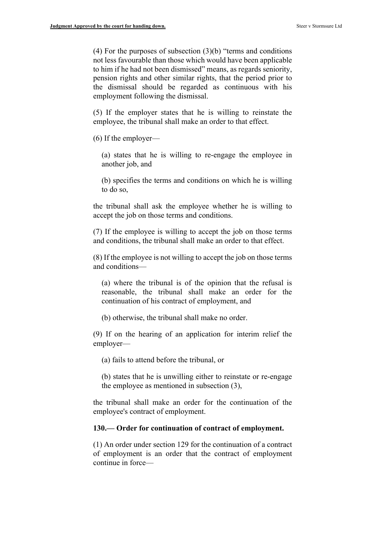(4) For the purposes of subsection (3)(b) "terms and conditions not less favourable than those which would have been applicable to him if he had not been dismissed" means, as regards seniority, pension rights and other similar rights, that the period prior to the dismissal should be regarded as continuous with his employment following the dismissal.

(5) If the employer states that he is willing to reinstate the employee, the tribunal shall make an order to that effect.

(6) If the employer—

(a) states that he is willing to re-engage the employee in another job, and

(b) specifies the terms and conditions on which he is willing to do so,

the tribunal shall ask the employee whether he is willing to accept the job on those terms and conditions.

(7) If the employee is willing to accept the job on those terms and conditions, the tribunal shall make an order to that effect.

(8) If the employee is not willing to accept the job on those terms and conditions—

(a) where the tribunal is of the opinion that the refusal is reasonable, the tribunal shall make an order for the continuation of his contract of employment, and

(b) otherwise, the tribunal shall make no order.

(9) If on the hearing of an application for interim relief the employer—

(a) fails to attend before the tribunal, or

(b) states that he is unwilling either to reinstate or re-engage the employee as mentioned in subsection (3),

the tribunal shall make an order for the continuation of the employee's contract of employment.

## **130.— Order for continuation of contract of employment.**

(1) An order under section 129 for the continuation of a contract of employment is an order that the contract of employment continue in force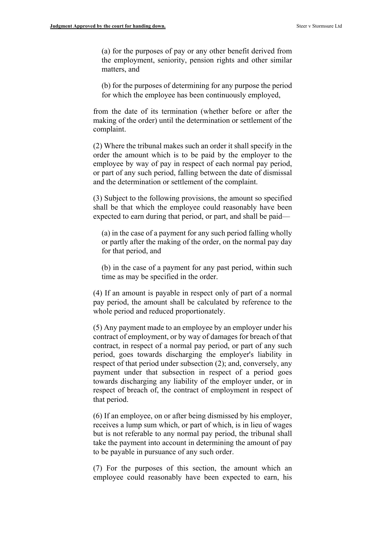(a) for the purposes of pay or any other benefit derived from the employment, seniority, pension rights and other similar matters, and

(b) for the purposes of determining for any purpose the period for which the employee has been continuously employed,

from the date of its termination (whether before or after the making of the order) until the determination or settlement of the complaint.

(2) Where the tribunal makes such an order it shall specify in the order the amount which is to be paid by the employer to the employee by way of pay in respect of each normal pay period, or part of any such period, falling between the date of dismissal and the determination or settlement of the complaint.

(3) Subject to the following provisions, the amount so specified shall be that which the employee could reasonably have been expected to earn during that period, or part, and shall be paid—

(a) in the case of a payment for any such period falling wholly or partly after the making of the order, on the normal pay day for that period, and

(b) in the case of a payment for any past period, within such time as may be specified in the order.

(4) If an amount is payable in respect only of part of a normal pay period, the amount shall be calculated by reference to the whole period and reduced proportionately.

(5) Any payment made to an employee by an employer under his contract of employment, or by way of damages for breach of that contract, in respect of a normal pay period, or part of any such period, goes towards discharging the employer's liability in respect of that period under subsection (2); and, conversely, any payment under that subsection in respect of a period goes towards discharging any liability of the employer under, or in respect of breach of, the contract of employment in respect of that period.

(6) If an employee, on or after being dismissed by his employer, receives a lump sum which, or part of which, is in lieu of wages but is not referable to any normal pay period, the tribunal shall take the payment into account in determining the amount of pay to be payable in pursuance of any such order.

(7) For the purposes of this section, the amount which an employee could reasonably have been expected to earn, his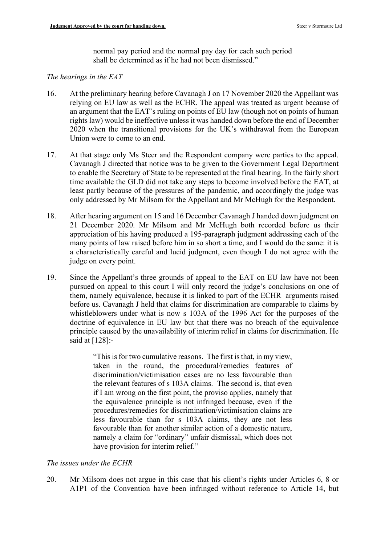normal pay period and the normal pay day for each such period shall be determined as if he had not been dismissed."

## *The hearings in the EAT*

- 16. At the preliminary hearing before Cavanagh J on 17 November 2020 the Appellant was relying on EU law as well as the ECHR. The appeal was treated as urgent because of an argument that the EAT's ruling on points of EU law (though not on points of human rights law) would be ineffective unless it was handed down before the end of December 2020 when the transitional provisions for the UK's withdrawal from the European Union were to come to an end.
- 17. At that stage only Ms Steer and the Respondent company were parties to the appeal. Cavanagh J directed that notice was to be given to the Government Legal Department to enable the Secretary of State to be represented at the final hearing. In the fairly short time available the GLD did not take any steps to become involved before the EAT, at least partly because of the pressures of the pandemic, and accordingly the judge was only addressed by Mr Milsom for the Appellant and Mr McHugh for the Respondent.
- 18. After hearing argument on 15 and 16 December Cavanagh J handed down judgment on 21 December 2020. Mr Milsom and Mr McHugh both recorded before us their appreciation of his having produced a 195-paragraph judgment addressing each of the many points of law raised before him in so short a time, and I would do the same: it is a characteristically careful and lucid judgment, even though I do not agree with the judge on every point.
- 19. Since the Appellant's three grounds of appeal to the EAT on EU law have not been pursued on appeal to this court I will only record the judge's conclusions on one of them, namely equivalence, because it is linked to part of the ECHR arguments raised before us. Cavanagh J held that claims for discrimination are comparable to claims by whistleblowers under what is now s 103A of the 1996 Act for the purposes of the doctrine of equivalence in EU law but that there was no breach of the equivalence principle caused by the unavailability of interim relief in claims for discrimination. He said at [128]:-

"This is for two cumulative reasons. The first is that, in my view, taken in the round, the procedural/remedies features of discrimination/victimisation cases are no less favourable than the relevant features of s 103A claims. The second is, that even if I am wrong on the first point, the proviso applies, namely that the equivalence principle is not infringed because, even if the procedures/remedies for discrimination/victimisation claims are less favourable than for s 103A claims, they are not less favourable than for another similar action of a domestic nature, namely a claim for "ordinary" unfair dismissal, which does not have provision for interim relief."

# *The issues under the ECHR*

20. Mr Milsom does not argue in this case that his client's rights under Articles 6, 8 or A1P1 of the Convention have been infringed without reference to Article 14, but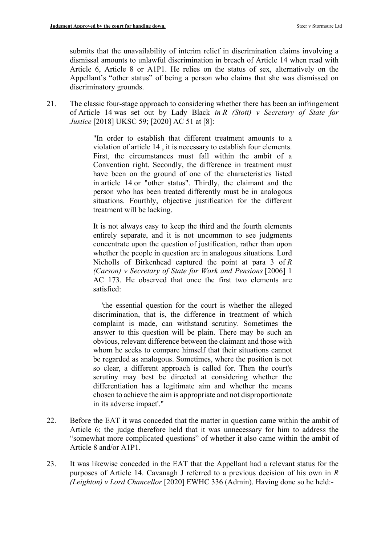submits that the unavailability of interim relief in discrimination claims involving a dismissal amounts to unlawful discrimination in breach of Article 14 when read with Article 6, Article 8 or A1P1. He relies on the status of sex, alternatively on the Appellant's "other status" of being a person who claims that she was dismissed on discriminatory grounds.

21. The classic four-stage approach to considering whether there has been an infringement of Article 14 was set out by Lady Black *in R (Stott) v Secretary of State for Justice* [2018] UKSC 59; [2020] AC 51 at [8]:

> "In order to establish that different treatment amounts to a violation of article 14 , it is necessary to establish four elements. First, the circumstances must fall within the ambit of a Convention right. Secondly, the difference in treatment must have been on the ground of one of the characteristics listed in article 14 or "other status". Thirdly, the claimant and the person who has been treated differently must be in analogous situations. Fourthly, objective justification for the different treatment will be lacking.

> It is not always easy to keep the third and the fourth elements entirely separate, and it is not uncommon to see judgments concentrate upon the question of justification, rather than upon whether the people in question are in analogous situations. Lord Nicholls of Birkenhead captured the point at para 3 of *R (Carson) v Secretary of State for Work and Pensions* [2006] 1 AC 173. He observed that once the first two elements are satisfied:

> 'the essential question for the court is whether the alleged discrimination, that is, the difference in treatment of which complaint is made, can withstand scrutiny. Sometimes the answer to this question will be plain. There may be such an obvious, relevant difference between the claimant and those with whom he seeks to compare himself that their situations cannot be regarded as analogous. Sometimes, where the position is not so clear, a different approach is called for. Then the court's scrutiny may best be directed at considering whether the differentiation has a legitimate aim and whether the means chosen to achieve the aim is appropriate and not disproportionate in its adverse impact'."

- 22. Before the EAT it was conceded that the matter in question came within the ambit of Article 6; the judge therefore held that it was unnecessary for him to address the "somewhat more complicated questions" of whether it also came within the ambit of Article 8 and/or A1P1.
- 23. It was likewise conceded in the EAT that the Appellant had a relevant status for the purposes of Article 14. Cavanagh J referred to a previous decision of his own in *R (Leighton) v Lord Chancellor* [2020] EWHC 336 (Admin). Having done so he held:-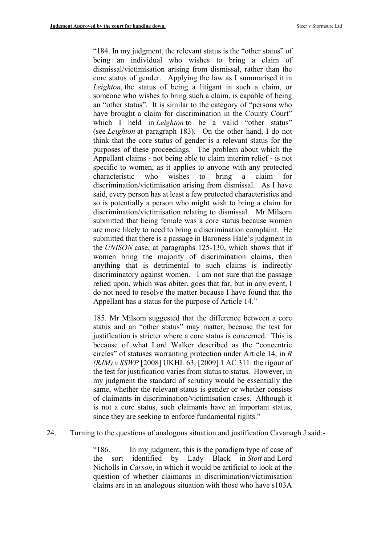"184. In my judgment, the relevant status is the "other status" of being an individual who wishes to bring a claim of dismissal/victimisation arising from dismissal, rather than the core status of gender. Applying the law as I summarised it in *Leighton*, the status of being a litigant in such a claim, or someone who wishes to bring such a claim, is capable of being an "other status". It is similar to the category of "persons who have brought a claim for discrimination in the County Court" which I held in *Leighton* to be a valid "other status" (see *Leighton* at paragraph 183). On the other hand, I do not think that the core status of gender is a relevant status for the purposes of these proceedings. The problem about which the Appellant claims - not being able to claim interim relief - is not specific to women, as it applies to anyone with any protected characteristic who wishes to bring a claim for discrimination/victimisation arising from dismissal. As I have said, every person has at least a few protected characteristics and so is potentially a person who might wish to bring a claim for discrimination/victimisation relating to dismissal. Mr Milsom submitted that being female was a core status because women are more likely to need to bring a discrimination complaint. He submitted that there is a passage in Baroness Hale's judgment in the *UNISON* case, at paragraphs 125-130, which shows that if women bring the majority of discrimination claims, then anything that is detrimental to such claims is indirectly discriminatory against women. I am not sure that the passage relied upon, which was obiter, goes that far, but in any event, I do not need to resolve the matter because I have found that the Appellant has a status for the purpose of Article 14."

185. Mr Milsom suggested that the difference between a core status and an "other status" may matter, because the test for justification is stricter where a core status is concerned. This is because of what Lord Walker described as the "concentric circles" of statuses warranting protection under Article 14, in *R (RJM) v SSWP* [2008] UKHL 63, [2009] 1 AC 311: the rigour of the test for justification varies from status to status. However, in my judgment the standard of scrutiny would be essentially the same, whether the relevant status is gender or whether consists of claimants in discrimination/victimisation cases. Although it is not a core status, such claimants have an important status, since they are seeking to enforce fundamental rights."

24. Turning to the questions of analogous situation and justification Cavanagh J said:-

"186. In my judgment, this is the paradigm type of case of the sort identified by Lady Black in *Stott* and Lord Nicholls in *Carson*, in which it would be artificial to look at the question of whether claimants in discrimination/victimisation claims are in an analogous situation with those who have s103A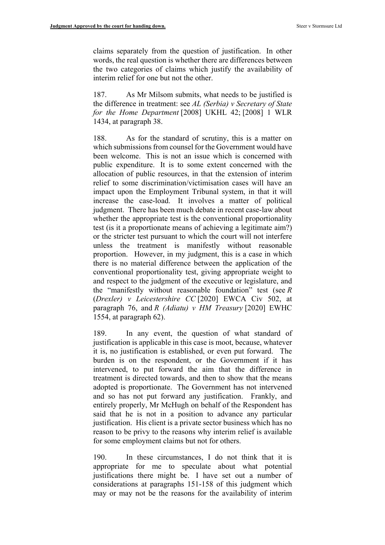claims separately from the question of justification. In other words, the real question is whether there are differences between the two categories of claims which justify the availability of interim relief for one but not the other.

187. As Mr Milsom submits, what needs to be justified is the difference in treatment: see *AL (Serbia) v Secretary of State for the Home Department* [2008] UKHL 42; [2008] 1 WLR 1434, at paragraph 38.

188. As for the standard of scrutiny, this is a matter on which submissions from counsel for the Government would have been welcome. This is not an issue which is concerned with public expenditure. It is to some extent concerned with the allocation of public resources, in that the extension of interim relief to some discrimination/victimisation cases will have an impact upon the Employment Tribunal system, in that it will increase the case-load. It involves a matter of political judgment. There has been much debate in recent case-law about whether the appropriate test is the conventional proportionality test (is it a proportionate means of achieving a legitimate aim?) or the stricter test pursuant to which the court will not interfere unless the treatment is manifestly without reasonable proportion. However, in my judgment, this is a case in which there is no material difference between the application of the conventional proportionality test, giving appropriate weight to and respect to the judgment of the executive or legislature, and the "manifestly without reasonable foundation" test (see *R* (*Drexler) v Leicestershire CC* [2020] EWCA Civ 502, at paragraph 76, and *R (Adiatu) v HM Treasury* [2020] EWHC 1554, at paragraph 62).

189. In any event, the question of what standard of justification is applicable in this case is moot, because, whatever it is, no justification is established, or even put forward. The burden is on the respondent, or the Government if it has intervened, to put forward the aim that the difference in treatment is directed towards, and then to show that the means adopted is proportionate. The Government has not intervened and so has not put forward any justification. Frankly, and entirely properly, Mr McHugh on behalf of the Respondent has said that he is not in a position to advance any particular justification. His client is a private sector business which has no reason to be privy to the reasons why interim relief is available for some employment claims but not for others.

190. In these circumstances, I do not think that it is appropriate for me to speculate about what potential justifications there might be. I have set out a number of considerations at paragraphs 151-158 of this judgment which may or may not be the reasons for the availability of interim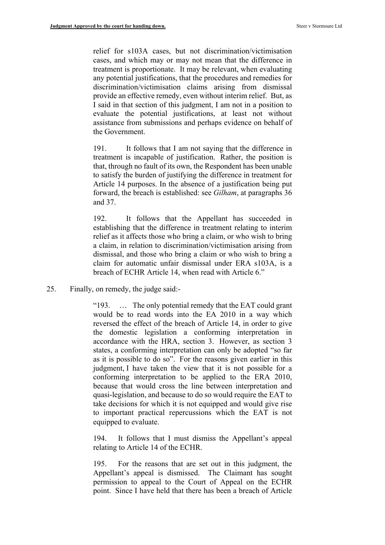relief for s103A cases, but not discrimination/victimisation cases, and which may or may not mean that the difference in treatment is proportionate. It may be relevant, when evaluating any potential justifications, that the procedures and remedies for discrimination/victimisation claims arising from dismissal provide an effective remedy, even without interim relief. But, as I said in that section of this judgment, I am not in a position to evaluate the potential justifications, at least not without assistance from submissions and perhaps evidence on behalf of the Government.

191. It follows that I am not saying that the difference in treatment is incapable of justification. Rather, the position is that, through no fault of its own, the Respondent has been unable to satisfy the burden of justifying the difference in treatment for Article 14 purposes. In the absence of a justification being put forward, the breach is established: see *Gilham*, at paragraphs 36 and 37.

192. It follows that the Appellant has succeeded in establishing that the difference in treatment relating to interim relief as it affects those who bring a claim, or who wish to bring a claim, in relation to discrimination/victimisation arising from dismissal, and those who bring a claim or who wish to bring a claim for automatic unfair dismissal under ERA s103A, is a breach of ECHR Article 14, when read with Article 6."

25. Finally, on remedy, the judge said:-

"193. … The only potential remedy that the EAT could grant would be to read words into the EA 2010 in a way which reversed the effect of the breach of Article 14, in order to give the domestic legislation a conforming interpretation in accordance with the HRA, section 3. However, as section 3 states, a conforming interpretation can only be adopted "so far as it is possible to do so". For the reasons given earlier in this judgment, I have taken the view that it is not possible for a conforming interpretation to be applied to the ERA 2010, because that would cross the line between interpretation and quasi-legislation, and because to do so would require the EAT to take decisions for which it is not equipped and would give rise to important practical repercussions which the EAT is not equipped to evaluate.

194. It follows that I must dismiss the Appellant's appeal relating to Article 14 of the ECHR.

195. For the reasons that are set out in this judgment, the Appellant's appeal is dismissed. The Claimant has sought permission to appeal to the Court of Appeal on the ECHR point. Since I have held that there has been a breach of Article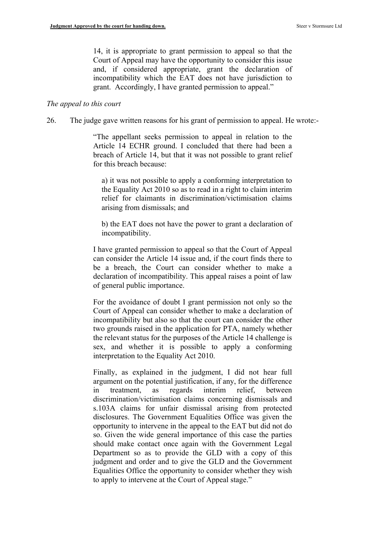14, it is appropriate to grant permission to appeal so that the Court of Appeal may have the opportunity to consider this issue and, if considered appropriate, grant the declaration of incompatibility which the EAT does not have jurisdiction to grant. Accordingly, I have granted permission to appeal."

#### *The appeal to this court*

26. The judge gave written reasons for his grant of permission to appeal. He wrote:-

"The appellant seeks permission to appeal in relation to the Article 14 ECHR ground. I concluded that there had been a breach of Article 14, but that it was not possible to grant relief for this breach because:

a) it was not possible to apply a conforming interpretation to the Equality Act 2010 so as to read in a right to claim interim relief for claimants in discrimination/victimisation claims arising from dismissals; and

b) the EAT does not have the power to grant a declaration of incompatibility.

I have granted permission to appeal so that the Court of Appeal can consider the Article 14 issue and, if the court finds there to be a breach, the Court can consider whether to make a declaration of incompatibility. This appeal raises a point of law of general public importance.

For the avoidance of doubt I grant permission not only so the Court of Appeal can consider whether to make a declaration of incompatibility but also so that the court can consider the other two grounds raised in the application for PTA, namely whether the relevant status for the purposes of the Article 14 challenge is sex, and whether it is possible to apply a conforming interpretation to the Equality Act 2010.

Finally, as explained in the judgment, I did not hear full argument on the potential justification, if any, for the difference in treatment, as regards interim relief, between discrimination/victimisation claims concerning dismissals and s.103A claims for unfair dismissal arising from protected disclosures. The Government Equalities Office was given the opportunity to intervene in the appeal to the EAT but did not do so. Given the wide general importance of this case the parties should make contact once again with the Government Legal Department so as to provide the GLD with a copy of this judgment and order and to give the GLD and the Government Equalities Office the opportunity to consider whether they wish to apply to intervene at the Court of Appeal stage."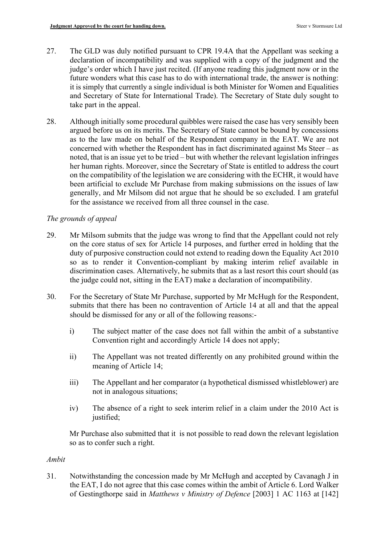- 27. The GLD was duly notified pursuant to CPR 19.4A that the Appellant was seeking a declaration of incompatibility and was supplied with a copy of the judgment and the judge's order which I have just recited. (If anyone reading this judgment now or in the future wonders what this case has to do with international trade, the answer is nothing: it is simply that currently a single individual is both Minister for Women and Equalities and Secretary of State for International Trade). The Secretary of State duly sought to take part in the appeal.
- 28. Although initially some procedural quibbles were raised the case has very sensibly been argued before us on its merits. The Secretary of State cannot be bound by concessions as to the law made on behalf of the Respondent company in the EAT. We are not concerned with whether the Respondent has in fact discriminated against Ms Steer – as noted, that is an issue yet to be tried – but with whether the relevant legislation infringes her human rights. Moreover, since the Secretary of State is entitled to address the court on the compatibility of the legislation we are considering with the ECHR, it would have been artificial to exclude Mr Purchase from making submissions on the issues of law generally, and Mr Milsom did not argue that he should be so excluded. I am grateful for the assistance we received from all three counsel in the case.

# *The grounds of appeal*

- 29. Mr Milsom submits that the judge was wrong to find that the Appellant could not rely on the core status of sex for Article 14 purposes, and further erred in holding that the duty of purposive construction could not extend to reading down the Equality Act 2010 so as to render it Convention-compliant by making interim relief available in discrimination cases. Alternatively, he submits that as a last resort this court should (as the judge could not, sitting in the EAT) make a declaration of incompatibility.
- 30. For the Secretary of State Mr Purchase, supported by Mr McHugh for the Respondent, submits that there has been no contravention of Article 14 at all and that the appeal should be dismissed for any or all of the following reasons:
	- i) The subject matter of the case does not fall within the ambit of a substantive Convention right and accordingly Article 14 does not apply;
	- ii) The Appellant was not treated differently on any prohibited ground within the meaning of Article 14;
	- iii) The Appellant and her comparator (a hypothetical dismissed whistleblower) are not in analogous situations;
	- iv) The absence of a right to seek interim relief in a claim under the 2010 Act is justified;

Mr Purchase also submitted that it is not possible to read down the relevant legislation so as to confer such a right.

# *Ambit*

31. Notwithstanding the concession made by Mr McHugh and accepted by Cavanagh J in the EAT, I do not agree that this case comes within the ambit of Article 6. Lord Walker of Gestingthorpe said in *Matthews v Ministry of Defence* [2003] 1 AC 1163 at [142]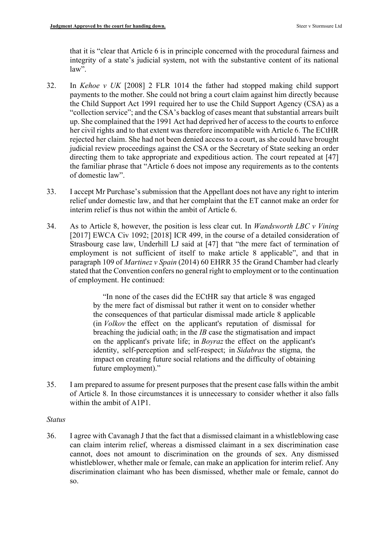that it is "clear that Article 6 is in principle concerned with the procedural fairness and integrity of a state's judicial system, not with the substantive content of its national  $law$ ".

- 32. In *Kehoe v UK* [2008] 2 FLR 1014 the father had stopped making child support payments to the mother. She could not bring a court claim against him directly because the Child Support Act 1991 required her to use the Child Support Agency (CSA) as a "collection service"; and the CSA's backlog of cases meant that substantial arrears built up. She complained that the 1991 Act had deprived her of access to the courts to enforce her civil rights and to that extent was therefore incompatible with Article 6. The ECtHR rejected her claim. She had not been denied access to a court, as she could have brought judicial review proceedings against the CSA or the Secretary of State seeking an order directing them to take appropriate and expeditious action. The court repeated at [47] the familiar phrase that "Article 6 does not impose any requirements as to the contents of domestic law".
- 33. I accept Mr Purchase's submission that the Appellant does not have any right to interim relief under domestic law, and that her complaint that the ET cannot make an order for interim relief is thus not within the ambit of Article 6.
- 34. As to Article 8, however, the position is less clear cut. In *Wandsworth LBC v Vining*  [2017] EWCA Civ 1092; [2018] ICR 499, in the course of a detailed consideration of Strasbourg case law, Underhill LJ said at [47] that "the mere fact of termination of employment is not sufficient of itself to make article 8 applicable", and that in paragraph 109 of *Martinez v Spain* (2014) 60 EHRR 35 the Grand Chamber had clearly stated that the Convention confers no general right to employment or to the continuation of employment. He continued:

 "In none of the cases did the ECtHR say that article 8 was engaged by the mere fact of dismissal but rather it went on to consider whether the consequences of that particular dismissal made article 8 applicable (in *Volkov* the effect on the applicant's reputation of dismissal for breaching the judicial oath; in the *IB* case the stigmatisation and impact on the applicant's private life; in *Boyraz* the effect on the applicant's identity, self-perception and self-respect; in *Sidabras* the stigma, the impact on creating future social relations and the difficulty of obtaining future employment)."

35. I am prepared to assume for present purposes that the present case falls within the ambit of Article 8. In those circumstances it is unnecessary to consider whether it also falls within the ambit of A1P1.

## *Status*

36. I agree with Cavanagh J that the fact that a dismissed claimant in a whistleblowing case can claim interim relief, whereas a dismissed claimant in a sex discrimination case cannot, does not amount to discrimination on the grounds of sex. Any dismissed whistleblower, whether male or female, can make an application for interim relief. Any discrimination claimant who has been dismissed, whether male or female, cannot do so.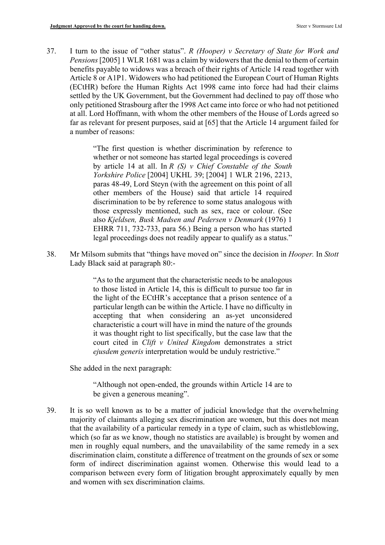37. I turn to the issue of "other status". *R (Hooper) v Secretary of State for Work and Pensions* [2005] 1 WLR 1681 was a claim by widowers that the denial to them of certain benefits payable to widows was a breach of their rights of Article 14 read together with Article 8 or A1P1. Widowers who had petitioned the European Court of Human Rights (ECtHR) before the Human Rights Act 1998 came into force had had their claims settled by the UK Government, but the Government had declined to pay off those who only petitioned Strasbourg after the 1998 Act came into force or who had not petitioned at all. Lord Hoffmann, with whom the other members of the House of Lords agreed so far as relevant for present purposes, said at [65] that the Article 14 argument failed for a number of reasons:

> "The first question is whether discrimination by reference to whether or not someone has started legal proceedings is covered by article 14 at all. In *R (S) v Chief Constable of the South Yorkshire Police* [2004] UKHL 39; [2004] 1 WLR 2196, 2213, paras 48-49, Lord Steyn (with the agreement on this point of all other members of the House) said that article 14 required discrimination to be by reference to some status analogous with those expressly mentioned, such as sex, race or colour. (See also *Kjeldsen, Busk Madsen and Pedersen v Denmark* (1976) 1 EHRR 711, 732-733, para 56.) Being a person who has started legal proceedings does not readily appear to qualify as a status."

38. Mr Milsom submits that "things have moved on" since the decision in *Hooper.* In *Stott* Lady Black said at paragraph 80:-

> "As to the argument that the characteristic needs to be analogous to those listed in Article 14, this is difficult to pursue too far in the light of the ECtHR's acceptance that a prison sentence of a particular length can be within the Article. I have no difficulty in accepting that when considering an as-yet unconsidered characteristic a court will have in mind the nature of the grounds it was thought right to list specifically, but the case law that the court cited in *Clift v United Kingdom* demonstrates a strict *ejusdem generis* interpretation would be unduly restrictive."

She added in the next paragraph:

"Although not open-ended, the grounds within Article 14 are to be given a generous meaning".

39. It is so well known as to be a matter of judicial knowledge that the overwhelming majority of claimants alleging sex discrimination are women, but this does not mean that the availability of a particular remedy in a type of claim, such as whistleblowing, which (so far as we know, though no statistics are available) is brought by women and men in roughly equal numbers, and the unavailability of the same remedy in a sex discrimination claim, constitute a difference of treatment on the grounds of sex or some form of indirect discrimination against women. Otherwise this would lead to a comparison between every form of litigation brought approximately equally by men and women with sex discrimination claims.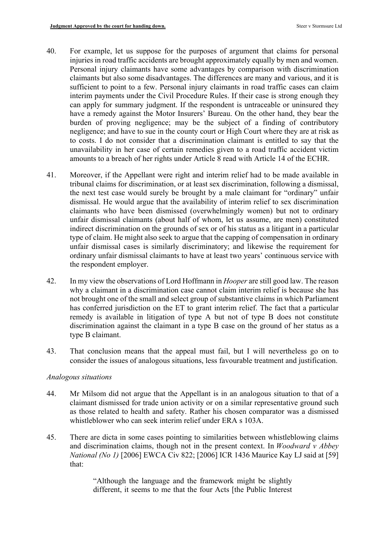- 40. For example, let us suppose for the purposes of argument that claims for personal injuries in road traffic accidents are brought approximately equally by men and women. Personal injury claimants have some advantages by comparison with discrimination claimants but also some disadvantages. The differences are many and various, and it is sufficient to point to a few. Personal injury claimants in road traffic cases can claim interim payments under the Civil Procedure Rules. If their case is strong enough they can apply for summary judgment. If the respondent is untraceable or uninsured they have a remedy against the Motor Insurers' Bureau. On the other hand, they bear the burden of proving negligence; may be the subject of a finding of contributory negligence; and have to sue in the county court or High Court where they are at risk as to costs. I do not consider that a discrimination claimant is entitled to say that the unavailability in her case of certain remedies given to a road traffic accident victim amounts to a breach of her rights under Article 8 read with Article 14 of the ECHR.
- 41. Moreover, if the Appellant were right and interim relief had to be made available in tribunal claims for discrimination, or at least sex discrimination, following a dismissal, the next test case would surely be brought by a male claimant for "ordinary" unfair dismissal. He would argue that the availability of interim relief to sex discrimination claimants who have been dismissed (overwhelmingly women) but not to ordinary unfair dismissal claimants (about half of whom, let us assume, are men) constituted indirect discrimination on the grounds of sex or of his status as a litigant in a particular type of claim. He might also seek to argue that the capping of compensation in ordinary unfair dismissal cases is similarly discriminatory; and likewise the requirement for ordinary unfair dismissal claimants to have at least two years' continuous service with the respondent employer.
- 42. In my view the observations of Lord Hoffmann in *Hooper* are still good law. The reason why a claimant in a discrimination case cannot claim interim relief is because she has not brought one of the small and select group of substantive claims in which Parliament has conferred jurisdiction on the ET to grant interim relief. The fact that a particular remedy is available in litigation of type A but not of type B does not constitute discrimination against the claimant in a type B case on the ground of her status as a type B claimant.
- 43. That conclusion means that the appeal must fail, but I will nevertheless go on to consider the issues of analogous situations, less favourable treatment and justification.

## *Analogous situations*

- 44. Mr Milsom did not argue that the Appellant is in an analogous situation to that of a claimant dismissed for trade union activity or on a similar representative ground such as those related to health and safety. Rather his chosen comparator was a dismissed whistleblower who can seek interim relief under ERA s 103A.
- 45. There are dicta in some cases pointing to similarities between whistleblowing claims and discrimination claims, though not in the present context. In *Woodward v Abbey National (No 1)* [2006] EWCA Civ 822; [2006] ICR 1436 Maurice Kay LJ said at [59] that:

"Although the language and the framework might be slightly different, it seems to me that the four Acts [the Public Interest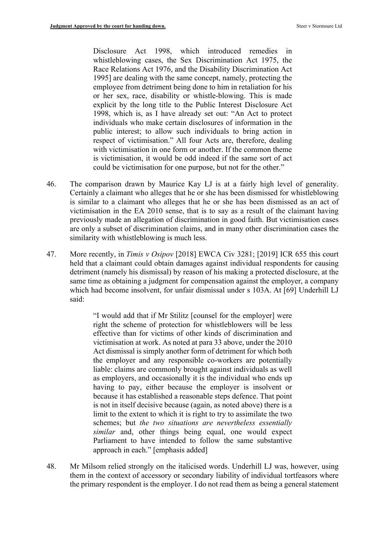Disclosure Act 1998, which introduced remedies in whistleblowing cases, the Sex Discrimination Act 1975, the Race Relations Act 1976, and the Disability Discrimination Act 1995] are dealing with the same concept, namely, protecting the employee from detriment being done to him in retaliation for his or her sex, race, disability or whistle-blowing. This is made explicit by the long title to the Public Interest Disclosure Act 1998, which is, as I have already set out: "An Act to protect individuals who make certain disclosures of information in the public interest; to allow such individuals to bring action in respect of victimisation." All four Acts are, therefore, dealing with victimisation in one form or another. If the common theme is victimisation, it would be odd indeed if the same sort of act could be victimisation for one purpose, but not for the other."

- 46. The comparison drawn by Maurice Kay LJ is at a fairly high level of generality. Certainly a claimant who alleges that he or she has been dismissed for whistleblowing is similar to a claimant who alleges that he or she has been dismissed as an act of victimisation in the EA 2010 sense, that is to say as a result of the claimant having previously made an allegation of discrimination in good faith. But victimisation cases are only a subset of discrimination claims, and in many other discrimination cases the similarity with whistleblowing is much less.
- 47. More recently, in *Timis v Osipov* [2018] EWCA Civ 3281; [2019] ICR 655 this court held that a claimant could obtain damages against individual respondents for causing detriment (namely his dismissal) by reason of his making a protected disclosure, at the same time as obtaining a judgment for compensation against the employer, a company which had become insolvent, for unfair dismissal under s 103A. At [69] Underhill LJ said:

"I would add that if Mr Stilitz [counsel for the employer] were right the scheme of protection for whistleblowers will be less effective than for victims of other kinds of discrimination and victimisation at work. As noted at para 33 above, under the 2010 Act dismissal is simply another form of detriment for which both the employer and any responsible co-workers are potentially liable: claims are commonly brought against individuals as well as employers, and occasionally it is the individual who ends up having to pay, either because the employer is insolvent or because it has established a reasonable steps defence. That point is not in itself decisive because (again, as noted above) there is a limit to the extent to which it is right to try to assimilate the two schemes; but *the two situations are nevertheless essentially similar* and, other things being equal, one would expect Parliament to have intended to follow the same substantive approach in each." [emphasis added]

48. Mr Milsom relied strongly on the italicised words. Underhill LJ was, however, using them in the context of accessory or secondary liability of individual tortfeasors where the primary respondent is the employer. I do not read them as being a general statement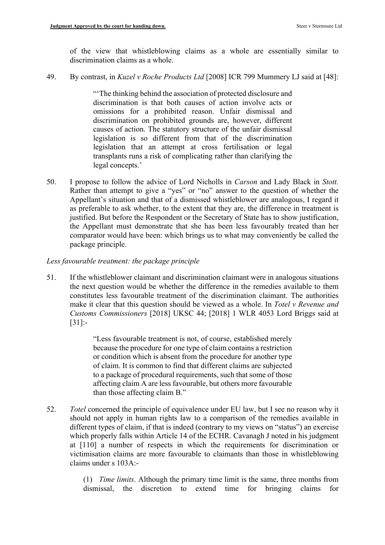of the view that whistleblowing claims as a whole are essentially similar to discrimination claims as a whole.

49. By contrast, in *Kuzel v Roche Products Ltd* [2008] ICR 799 Mummery LJ said at [48]:

"'The thinking behind the association of protected disclosure and discrimination is that both causes of action involve acts or omissions for a prohibited reason. Unfair dismissal and discrimination on prohibited grounds are, however, different causes of action. The statutory structure of the unfair dismissal legislation is so different from that of the discrimination legislation that an attempt at cross fertilisation or legal transplants runs a risk of complicating rather than clarifying the legal concepts.'

50. I propose to follow the advice of Lord Nicholls in *Carson* and Lady Black in *Stott.*  Rather than attempt to give a "yes" or "no" answer to the question of whether the Appellant's situation and that of a dismissed whistleblower are analogous, I regard it as preferable to ask whether, to the extent that they are, the difference in treatment is justified. But before the Respondent or the Secretary of State has to show justification, the Appellant must demonstrate that she has been less favourably treated than her comparator would have been: which brings us to what may conveniently be called the package principle.

# *Less favourable treatment: the package principle*

51. If the whistleblower claimant and discrimination claimant were in analogous situations the next question would be whether the difference in the remedies available to them constitutes less favourable treatment of the discrimination claimant. The authorities make it clear that this question should be viewed as a whole. In *Totel v Revenue and Customs Commissioners* [2018] UKSC 44; [2018] 1 WLR 4053 Lord Briggs said at [31]:-

> "Less favourable treatment is not, of course, established merely because the procedure for one type of claim contains a restriction or condition which is absent from the procedure for another type of claim. It is common to find that different claims are subjected to a package of procedural requirements, such that some of those affecting claim A are less favourable, but others more favourable than those affecting claim B."

52. *Totel* concerned the principle of equivalence under EU law, but I see no reason why it should not apply in human rights law to a comparison of the remedies available in different types of claim, if that is indeed (contrary to my views on "status") an exercise which properly falls within Article 14 of the ECHR. Cavanagh J noted in his judgment at [110] a number of respects in which the requirements for discrimination or victimisation claims are more favourable to claimants than those in whistleblowing claims under s 103A:-

> (1) *Time limits*. Although the primary time limit is the same, three months from dismissal, the discretion to extend time for bringing claims for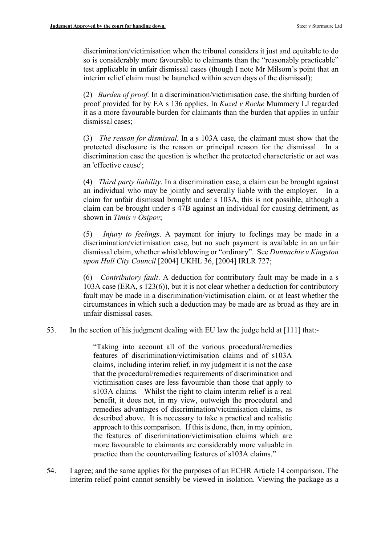discrimination/victimisation when the tribunal considers it just and equitable to do so is considerably more favourable to claimants than the "reasonably practicable" test applicable in unfair dismissal cases (though I note Mr Milsom's point that an interim relief claim must be launched within seven days of the dismissal);

(2) *Burden of proof.* In a discrimination/victimisation case, the shifting burden of proof provided for by EA s 136 applies. In *Kuzel v Roche* Mummery LJ regarded it as a more favourable burden for claimants than the burden that applies in unfair dismissal cases;

(3) *The reason for dismissal.* In a s 103A case, the claimant must show that the protected disclosure is the reason or principal reason for the dismissal. In a discrimination case the question is whether the protected characteristic or act was an 'effective cause';

(4) *Third party liability*. In a discrimination case, a claim can be brought against an individual who may be jointly and severally liable with the employer. In a claim for unfair dismissal brought under s 103A, this is not possible, although a claim can be brought under s 47B against an individual for causing detriment, as shown in *Timis v Osipov*;

(5) *Injury to feelings*. A payment for injury to feelings may be made in a discrimination/victimisation case, but no such payment is available in an unfair dismissal claim, whether whistleblowing or "ordinary". See *Dunnachie v Kingston upon Hull City Council* [2004] UKHL 36, [2004] IRLR 727;

(6) *Contributory fault*. A deduction for contributory fault may be made in a s 103A case (ERA, s 123(6)), but it is not clear whether a deduction for contributory fault may be made in a discrimination/victimisation claim, or at least whether the circumstances in which such a deduction may be made are as broad as they are in unfair dismissal cases.

53. In the section of his judgment dealing with EU law the judge held at [111] that:-

"Taking into account all of the various procedural/remedies features of discrimination/victimisation claims and of s103A claims, including interim relief, in my judgment it is not the case that the procedural/remedies requirements of discrimination and victimisation cases are less favourable than those that apply to s103A claims. Whilst the right to claim interim relief is a real benefit, it does not, in my view, outweigh the procedural and remedies advantages of discrimination/victimisation claims, as described above. It is necessary to take a practical and realistic approach to this comparison. If this is done, then, in my opinion, the features of discrimination/victimisation claims which are more favourable to claimants are considerably more valuable in practice than the countervailing features of s103A claims."

54. I agree; and the same applies for the purposes of an ECHR Article 14 comparison. The interim relief point cannot sensibly be viewed in isolation. Viewing the package as a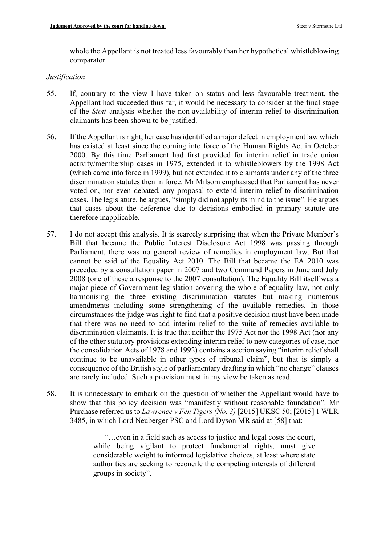whole the Appellant is not treated less favourably than her hypothetical whistleblowing comparator.

### *Justification*

- 55. If, contrary to the view I have taken on status and less favourable treatment, the Appellant had succeeded thus far, it would be necessary to consider at the final stage of the *Stott* analysis whether the non-availability of interim relief to discrimination claimants has been shown to be justified.
- 56. If the Appellant is right, her case has identified a major defect in employment law which has existed at least since the coming into force of the Human Rights Act in October 2000. By this time Parliament had first provided for interim relief in trade union activity/membership cases in 1975, extended it to whistleblowers by the 1998 Act (which came into force in 1999), but not extended it to claimants under any of the three discrimination statutes then in force. Mr Milsom emphasised that Parliament has never voted on, nor even debated, any proposal to extend interim relief to discrimination cases. The legislature, he argues, "simply did not apply its mind to the issue". He argues that cases about the deference due to decisions embodied in primary statute are therefore inapplicable.
- 57. I do not accept this analysis. It is scarcely surprising that when the Private Member's Bill that became the Public Interest Disclosure Act 1998 was passing through Parliament, there was no general review of remedies in employment law. But that cannot be said of the Equality Act 2010. The Bill that became the EA 2010 was preceded by a consultation paper in 2007 and two Command Papers in June and July 2008 (one of these a response to the 2007 consultation). The Equality Bill itself was a major piece of Government legislation covering the whole of equality law, not only harmonising the three existing discrimination statutes but making numerous amendments including some strengthening of the available remedies. In those circumstances the judge was right to find that a positive decision must have been made that there was no need to add interim relief to the suite of remedies available to discrimination claimants. It is true that neither the 1975 Act nor the 1998 Act (nor any of the other statutory provisions extending interim relief to new categories of case, nor the consolidation Acts of 1978 and 1992) contains a section saying "interim relief shall continue to be unavailable in other types of tribunal claim", but that is simply a consequence of the British style of parliamentary drafting in which "no change" clauses are rarely included. Such a provision must in my view be taken as read.
- 58. It is unnecessary to embark on the question of whether the Appellant would have to show that this policy decision was "manifestly without reasonable foundation". Mr Purchase referred us to *Lawrence v Fen Tigers (No. 3)* [2015] UKSC 50; [2015] 1 WLR 3485, in which Lord Neuberger PSC and Lord Dyson MR said at [58] that:

 "…even in a field such as access to justice and legal costs the court, while being vigilant to protect fundamental rights, must give considerable weight to informed legislative choices, at least where state authorities are seeking to reconcile the competing interests of different groups in society".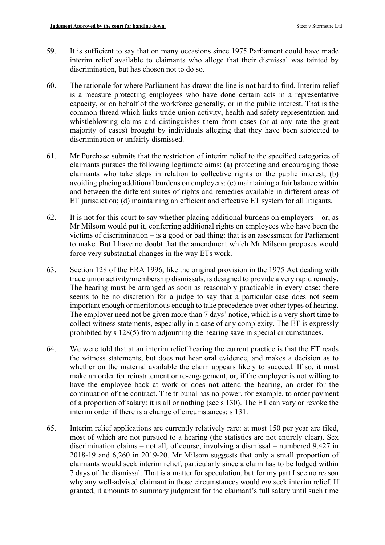- 59. It is sufficient to say that on many occasions since 1975 Parliament could have made interim relief available to claimants who allege that their dismissal was tainted by discrimination, but has chosen not to do so.
- 60. The rationale for where Parliament has drawn the line is not hard to find. Interim relief is a measure protecting employees who have done certain acts in a representative capacity, or on behalf of the workforce generally, or in the public interest. That is the common thread which links trade union activity, health and safety representation and whistleblowing claims and distinguishes them from cases (or at any rate the great majority of cases) brought by individuals alleging that they have been subjected to discrimination or unfairly dismissed.
- 61. Mr Purchase submits that the restriction of interim relief to the specified categories of claimants pursues the following legitimate aims: (a) protecting and encouraging those claimants who take steps in relation to collective rights or the public interest; (b) avoiding placing additional burdens on employers; (c) maintaining a fair balance within and between the different suites of rights and remedies available in different areas of ET jurisdiction; (d) maintaining an efficient and effective ET system for all litigants.
- 62. It is not for this court to say whether placing additional burdens on employers or, as Mr Milsom would put it, conferring additional rights on employees who have been the victims of discrimination – is a good or bad thing: that is an assessment for Parliament to make. But I have no doubt that the amendment which Mr Milsom proposes would force very substantial changes in the way ETs work.
- 63. Section 128 of the ERA 1996, like the original provision in the 1975 Act dealing with trade union activity/membership dismissals, is designed to provide a very rapid remedy. The hearing must be arranged as soon as reasonably practicable in every case: there seems to be no discretion for a judge to say that a particular case does not seem important enough or meritorious enough to take precedence over other types of hearing. The employer need not be given more than 7 days' notice, which is a very short time to collect witness statements, especially in a case of any complexity. The ET is expressly prohibited by s 128(5) from adjourning the hearing save in special circumstances.
- 64. We were told that at an interim relief hearing the current practice is that the ET reads the witness statements, but does not hear oral evidence, and makes a decision as to whether on the material available the claim appears likely to succeed. If so, it must make an order for reinstatement or re-engagement, or, if the employer is not willing to have the employee back at work or does not attend the hearing, an order for the continuation of the contract. The tribunal has no power, for example, to order payment of a proportion of salary: it is all or nothing (see s 130). The ET can vary or revoke the interim order if there is a change of circumstances: s 131.
- 65. Interim relief applications are currently relatively rare: at most 150 per year are filed, most of which are not pursued to a hearing (the statistics are not entirely clear). Sex discrimination claims – not all, of course, involving a dismissal – numbered 9,427 in 2018-19 and 6,260 in 2019-20. Mr Milsom suggests that only a small proportion of claimants would seek interim relief, particularly since a claim has to be lodged within 7 days of the dismissal. That is a matter for speculation, but for my part I see no reason why any well-advised claimant in those circumstances would *not* seek interim relief. If granted, it amounts to summary judgment for the claimant's full salary until such time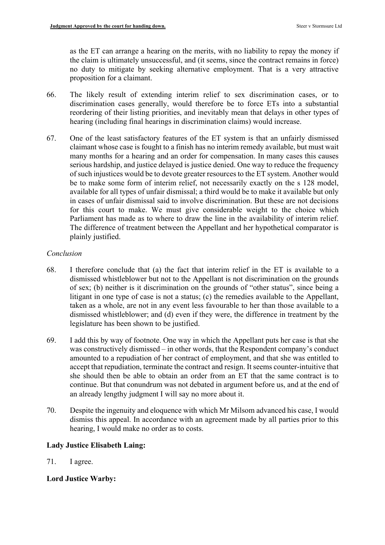as the ET can arrange a hearing on the merits, with no liability to repay the money if the claim is ultimately unsuccessful, and (it seems, since the contract remains in force) no duty to mitigate by seeking alternative employment. That is a very attractive proposition for a claimant.

- 66. The likely result of extending interim relief to sex discrimination cases, or to discrimination cases generally, would therefore be to force ETs into a substantial reordering of their listing priorities, and inevitably mean that delays in other types of hearing (including final hearings in discrimination claims) would increase.
- 67. One of the least satisfactory features of the ET system is that an unfairly dismissed claimant whose case is fought to a finish has no interim remedy available, but must wait many months for a hearing and an order for compensation. In many cases this causes serious hardship, and justice delayed is justice denied. One way to reduce the frequency of such injustices would be to devote greater resources to the ET system. Another would be to make some form of interim relief, not necessarily exactly on the s 128 model, available for all types of unfair dismissal; a third would be to make it available but only in cases of unfair dismissal said to involve discrimination. But these are not decisions for this court to make. We must give considerable weight to the choice which Parliament has made as to where to draw the line in the availability of interim relief. The difference of treatment between the Appellant and her hypothetical comparator is plainly justified.

# *Conclusion*

- 68. I therefore conclude that (a) the fact that interim relief in the ET is available to a dismissed whistleblower but not to the Appellant is not discrimination on the grounds of sex; (b) neither is it discrimination on the grounds of "other status", since being a litigant in one type of case is not a status; (c) the remedies available to the Appellant, taken as a whole, are not in any event less favourable to her than those available to a dismissed whistleblower; and (d) even if they were, the difference in treatment by the legislature has been shown to be justified.
- 69. I add this by way of footnote. One way in which the Appellant puts her case is that she was constructively dismissed – in other words, that the Respondent company's conduct amounted to a repudiation of her contract of employment, and that she was entitled to accept that repudiation, terminate the contract and resign. It seems counter-intuitive that she should then be able to obtain an order from an ET that the same contract is to continue. But that conundrum was not debated in argument before us, and at the end of an already lengthy judgment I will say no more about it.
- 70. Despite the ingenuity and eloquence with which Mr Milsom advanced his case, I would dismiss this appeal. In accordance with an agreement made by all parties prior to this hearing, I would make no order as to costs.

# **Lady Justice Elisabeth Laing:**

71. I agree.

# **Lord Justice Warby:**